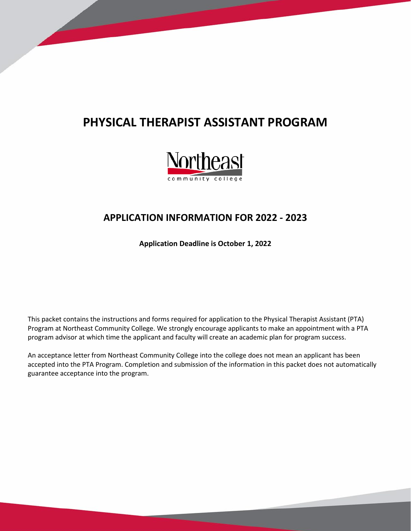# **PHYSICAL THERAPIST ASSISTANT PROGRAM**



# **APPLICATION INFORMATION FOR 2022 - 2023**

**Application Deadline is October 1, 2022**

This packet contains the instructions and forms required for application to the Physical Therapist Assistant (PTA) Program at Northeast Community College. We strongly encourage applicants to make an appointment with a PTA program advisor at which time the applicant and faculty will create an academic plan for program success.

An acceptance letter from Northeast Community College into the college does not mean an applicant has been accepted into the PTA Program. Completion and submission of the information in this packet does not automatically guarantee acceptance into the program.

*PTA PROGRAM MISSION: Northeast Community College's Physical Therapist Assistant Program is dedicated to preparing students to work as valuable health care providers who are employable in any physical therapy setting.*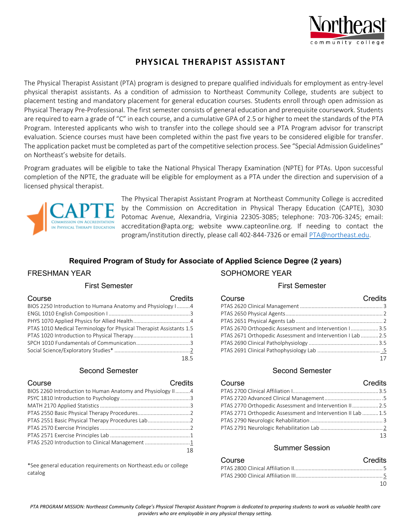

# **PHYSICAL THERAPIST ASSISTANT**

The Physical Therapist Assistant (PTA) program is designed to prepare qualified individuals for employment as entry-level physical therapist assistants. As a condition of admission to Northeast Community College, students are subject to placement testing and mandatory placement for general education courses. Students enroll through open admission as Physical Therapy Pre-Professional. The first semester consists of general education and prerequisite coursework. Students are required to earn a grade of "C" in each course, and a cumulative GPA of 2.5 or higher to meet the standards of the PTA Program. Interested applicants who wish to transfer into the college should see a PTA Program advisor for transcript evaluation. Science courses must have been completed within the past five years to be considered eligible for transfer. The application packet must be completed as part of the competitive selection process. See "Special Admission Guidelines" on Northeast's website for details.

Program graduates will be eligible to take the National Physical Therapy Examination (NPTE) for PTAs. Upon successful completion of the NPTE, the graduate will be eligible for employment as a PTA under the direction and supervision of a licensed physical therapist.



The Physical Therapist Assistant Program at Northeast Community College is accredited by the Commission on Accreditation in Physical Therapy Education (CAPTE), 3030 Potomac Avenue, Alexandria, Virginia 22305-3085; telephone: 703-706-3245; email: accreditation@apta.org; website www.capteonline.org. If needing to contact the program/institution directly, please call 402-844-7326 or emai[l PTA@northeast.edu.](mailto:PTA@northeast.edu)

#### **Required Program of Study for Associate of Applied Science Degree (2 years)**

### FRESHMAN YEAR

#### First Semester

| Course                                                              | Credits |
|---------------------------------------------------------------------|---------|
| BIOS 2250 Introduction to Humana Anatomy and Physiology I4          |         |
|                                                                     |         |
|                                                                     |         |
| PTAS 1010 Medical Terminology for Physical Therapist Assistants 1.5 |         |
|                                                                     |         |
|                                                                     |         |
|                                                                     |         |
|                                                                     | 18.5    |

#### Second Semester

| Course                                                     | Credits   |
|------------------------------------------------------------|-----------|
| BIOS 2260 Introduction to Human Anatomy and Physiology II4 |           |
|                                                            |           |
|                                                            |           |
|                                                            |           |
| PTAS 2551 Basic Physical Therapy Procedures Lab            |           |
|                                                            |           |
|                                                            |           |
| PTAS 2520 Introduction to Clinical Management 1            |           |
|                                                            | $\sim$ 18 |

\*See general education requirements on Northeast.edu or college catalog

### SOPHOMORE YEAR First Semester

| Course                                                      | Credits |
|-------------------------------------------------------------|---------|
|                                                             |         |
|                                                             |         |
|                                                             |         |
| PTAS 2670 Orthopedic Assessment and Intervention I 3.5      |         |
| PTAS 2671 Orthopedic Assessment and Intervention I Lab  2.5 |         |
|                                                             |         |
|                                                             |         |
|                                                             |         |
|                                                             |         |

#### Second Semester

| Course                                                       | <b>Credits</b> |
|--------------------------------------------------------------|----------------|
|                                                              |                |
|                                                              |                |
| PTAS 2770 Orthopedic Assessment and Intervention II 2.5      |                |
| PTAS 2771 Orthopedic Assessment and Intervention II Lab  1.5 |                |
|                                                              |                |
|                                                              |                |
|                                                              | 13             |

#### Summer Session

| Course | Credits |
|--------|---------|
|        |         |
|        |         |
|        | 1 O     |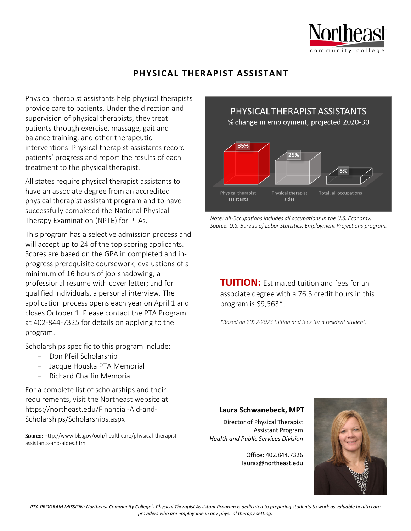

# **PHYSICAL THERAPIST ASSISTANT**

Physical therapist assistants help physical therapists provide care to patients. Under the direction and supervision of physical therapists, they treat patients through exercise, massage, gait and balance training, and other therapeutic interventions. Physical therapist assistants record patients' progress and report the results of each treatment to the physical therapist.

All states require physical therapist assistants to have an associate degree from an accredited physical therapist assistant program and to have successfully completed the National Physical Therapy Examination (NPTE) for PTAs.

This program has a selective admission process and will accept up to 24 of the top scoring applicants. Scores are based on the GPA in completed and inprogress prerequisite coursework; evaluations of a minimum of 16 hours of job-shadowing; a professional resume with cover letter; and for qualified individuals, a personal interview. The application process opens each year on April 1 and closes October 1. Please contact the PTA Program at 402-844-7325 for details on applying to the program.

Scholarships specific to this program include:

- Don Pfeil Scholarship
- Jacque Houska PTA Memorial
- Richard Chaffin Memorial

For a complete list of scholarships and their requirements, visit the Northeast website at https://northeast.edu/Financial-Aid-and-Scholarships/Scholarships.aspx

Source: http://www.bls.gov/ooh/healthcare/physical-therapistassistants-and-aides.htm



*Note: All Occupations includes all occupations in the U.S. Economy. Source: U.S. Bureau of Labor Statistics, Employment Projections program.* 

**TUITION:** Estimated tuition and fees for an associate degree with a 76.5 credit hours in this program is \$9,563\*.

*\*Based on 2022-2023 tuition and fees for a resident student.* 

#### **Laura Schwanebeck, MPT**

Director of Physical Therapist Assistant Program *Health and Public Services Division*

> Office: 402.844.7326 lauras@northeast.edu

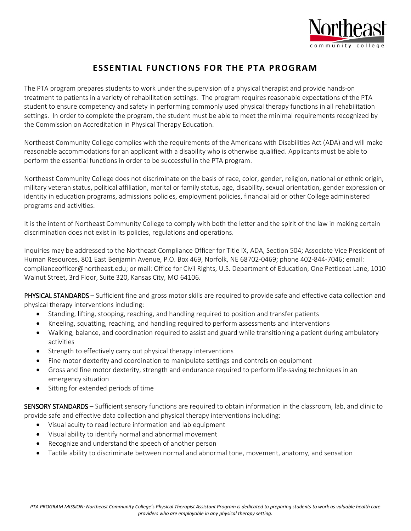

# **ESSENTIAL FUNCTIONS FOR THE PTA PROGRAM**

The PTA program prepares students to work under the supervision of a physical therapist and provide hands-on treatment to patients in a variety of rehabilitation settings. The program requires reasonable expectations of the PTA student to ensure competency and safety in performing commonly used physical therapy functions in all rehabilitation settings. In order to complete the program, the student must be able to meet the minimal requirements recognized by the Commission on Accreditation in Physical Therapy Education.

Northeast Community College complies with the requirements of the Americans with Disabilities Act (ADA) and will make reasonable accommodations for an applicant with a disability who is otherwise qualified. Applicants must be able to perform the essential functions in order to be successful in the PTA program.

Northeast Community College does not discriminate on the basis of race, color, gender, religion, national or ethnic origin, military veteran status, political affiliation, marital or family status, age, disability, sexual orientation, gender expression or identity in education programs, admissions policies, employment policies, financial aid or other College administered programs and activities.

It is the intent of Northeast Community College to comply with both the letter and the spirit of the law in making certain discrimination does not exist in its policies, regulations and operations.

Inquiries may be addressed to the Northeast Compliance Officer for Title IX, ADA, Section 504; Associate Vice President of Human Resources, 801 East Benjamin Avenue, P.O. Box 469, Norfolk, NE 68702-0469; phone 402-844-7046; email: complianceofficer@northeast.edu; or mail: Office for Civil Rights, U.S. Department of Education, One Petticoat Lane, 1010 Walnut Street, 3rd Floor, Suite 320, Kansas City, MO 64106.

PHYSICAL STANDARDS – Sufficient fine and gross motor skills are required to provide safe and effective data collection and physical therapy interventions including:

- Standing, lifting, stooping, reaching, and handling required to position and transfer patients
- Kneeling, squatting, reaching, and handling required to perform assessments and interventions
- Walking, balance, and coordination required to assist and guard while transitioning a patient during ambulatory activities
- Strength to effectively carry out physical therapy interventions
- Fine motor dexterity and coordination to manipulate settings and controls on equipment
- Gross and fine motor dexterity, strength and endurance required to perform life-saving techniques in an emergency situation
- Sitting for extended periods of time

SENSORY STANDARDS – Sufficient sensory functions are required to obtain information in the classroom, lab, and clinic to provide safe and effective data collection and physical therapy interventions including:

- Visual acuity to read lecture information and lab equipment
- Visual ability to identify normal and abnormal movement
- Recognize and understand the speech of another person
- Tactile ability to discriminate between normal and abnormal tone, movement, anatomy, and sensation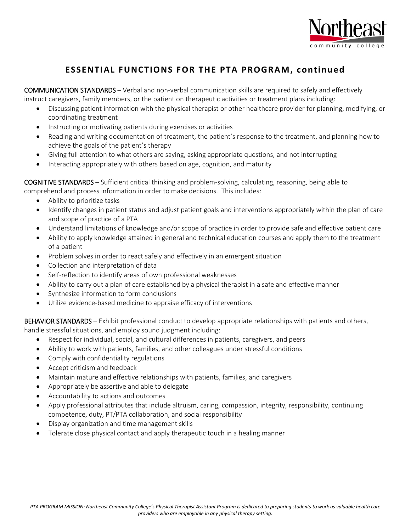

# **ESSENTIAL FUNCTIONS FOR THE PTA PROGRAM, continued**

COMMUNICATION STANDARDS – Verbal and non-verbal communication skills are required to safely and effectively instruct caregivers, family members, or the patient on therapeutic activities or treatment plans including:

- Discussing patient information with the physical therapist or other healthcare provider for planning, modifying, or coordinating treatment
- Instructing or motivating patients during exercises or activities
- Reading and writing documentation of treatment, the patient's response to the treatment, and planning how to achieve the goals of the patient's therapy
- Giving full attention to what others are saying, asking appropriate questions, and not interrupting
- Interacting appropriately with others based on age, cognition, and maturity

COGNITIVE STANDARDS – Sufficient critical thinking and problem-solving, calculating, reasoning, being able to comprehend and process information in order to make decisions. This includes:

- Ability to prioritize tasks
- Identify changes in patient status and adjust patient goals and interventions appropriately within the plan of care and scope of practice of a PTA
- Understand limitations of knowledge and/or scope of practice in order to provide safe and effective patient care
- Ability to apply knowledge attained in general and technical education courses and apply them to the treatment of a patient
- Problem solves in order to react safely and effectively in an emergent situation
- Collection and interpretation of data
- Self-reflection to identify areas of own professional weaknesses
- Ability to carry out a plan of care established by a physical therapist in a safe and effective manner
- Synthesize information to form conclusions
- Utilize evidence-based medicine to appraise efficacy of interventions

BEHAVIOR STANDARDS – Exhibit professional conduct to develop appropriate relationships with patients and others, handle stressful situations, and employ sound judgment including:

- Respect for individual, social, and cultural differences in patients, caregivers, and peers
- Ability to work with patients, families, and other colleagues under stressful conditions
- Comply with confidentiality regulations
- Accept criticism and feedback
- Maintain mature and effective relationships with patients, families, and caregivers
- Appropriately be assertive and able to delegate
- Accountability to actions and outcomes
- Apply professional attributes that include altruism, caring, compassion, integrity, responsibility, continuing competence, duty, PT/PTA collaboration, and social responsibility
- Display organization and time management skills
- Tolerate close physical contact and apply therapeutic touch in a healing manner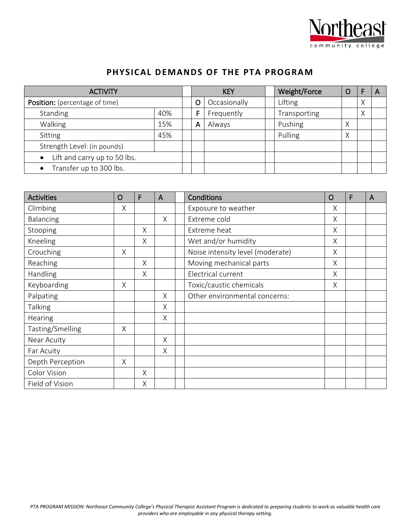

# **PHYSICAL DEMANDS OF THE PTA PROGRAM**

| <b>ACTIVITY</b>                       |     | <b>KEY</b> |              | Weight/Force | O |   |  |
|---------------------------------------|-----|------------|--------------|--------------|---|---|--|
| <b>Position:</b> (percentage of time) |     | O          | Occasionally | Lifting      |   | Χ |  |
| Standing                              | 40% | F          | Frequently   | Transporting |   | Χ |  |
| Walking                               | 15% | A          | Always       | Pushing      | Χ |   |  |
| Sitting                               | 45% |            |              | Pulling      | Χ |   |  |
| Strength Level: (in pounds)           |     |            |              |              |   |   |  |
| Lift and carry up to 50 lbs.          |     |            |              |              |   |   |  |
| • Transfer up to 300 lbs.             |     |            |              |              |   |   |  |

| <b>Activities</b> | $\mathsf{O}$ | F | A | Conditions                       | O | F | $\mathsf{A}$ |
|-------------------|--------------|---|---|----------------------------------|---|---|--------------|
| Climbing          | X            |   |   | Exposure to weather              | X |   |              |
| Balancing         |              |   | X | Extreme cold                     | X |   |              |
| Stooping          |              | X |   | Extreme heat                     | Χ |   |              |
| Kneeling          |              | X |   | Wet and/or humidity              | X |   |              |
| Crouching         | X            |   |   | Noise intensity level (moderate) | X |   |              |
| Reaching          |              | X |   | Moving mechanical parts          | Χ |   |              |
| Handling          |              | X |   | Electrical current               | Χ |   |              |
| Keyboarding       | Χ            |   |   | Toxic/caustic chemicals          | Χ |   |              |
| Palpating         |              |   | X | Other environmental concerns:    |   |   |              |
| Talking           |              |   | X |                                  |   |   |              |
| Hearing           |              |   | X |                                  |   |   |              |
| Tasting/Smelling  | X            |   |   |                                  |   |   |              |
| Near Acuity       |              |   | X |                                  |   |   |              |
| Far Acuity        |              |   | X |                                  |   |   |              |
| Depth Perception  | X            |   |   |                                  |   |   |              |
| Color Vision      |              | X |   |                                  |   |   |              |
| Field of Vision   |              | X |   |                                  |   |   |              |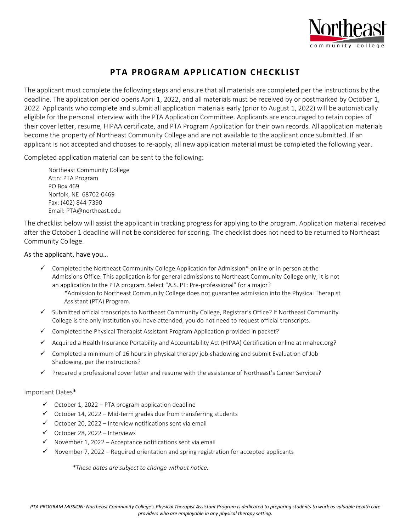

# **PTA PROGRAM APPLICATION CHECKLIST**

The applicant must complete the following steps and ensure that all materials are completed per the instructions by the deadline. The application period opens April 1, 2022, and all materials must be received by or postmarked by October 1, 2022. Applicants who complete and submit all application materials early (prior to August 1, 2022) will be automatically eligible for the personal interview with the PTA Application Committee. Applicants are encouraged to retain copies of their cover letter, resume, HIPAA certificate, and PTA Program Application for their own records. All application materials become the property of Northeast Community College and are not available to the applicant once submitted. If an applicant is not accepted and chooses to re-apply, all new application material must be completed the following year.

Completed application material can be sent to the following:

Northeast Community College Attn: PTA Program PO Box 469 Norfolk, NE 68702-0469 Fax: (402) 844-7390 Email: PTA@northeast.edu

The checklist below will assist the applicant in tracking progress for applying to the program. Application material received after the October 1 deadline will not be considered for scoring. The checklist does not need to be returned to Northeast Community College.

#### As the applicant, have you…

- $\checkmark$  Completed the [Northeast Community College Application for Admission\\*](http://northeast.edu/Admissions/) online or in person at the Admissions Office. This application is for general admissions to Northeast Community College only; it is not an application to the PTA program. Select "A.S. PT: Pre-professional" for a major?
	- \*Admission to Northeast Community College does not guarantee admission into the Physical Therapist Assistant (PTA) Program.
- $\checkmark$  Submitted official transcripts to Northeast Community College, Registrar's Office? If Northeast Community College is the only institution you have attended, you do not need to request official transcripts.
- $\checkmark$  Completed the Physical Therapist Assistant Program Application provided in packet?
- $\checkmark$  Acquired a Health Insurance Portability and Accountability Act (HIPAA) Certification online at nnahec.org?
- $\checkmark$  Completed a minimum of 16 hours in physical therapy job-shadowing and submit Evaluation of Job Shadowing, per the instructions?
- $\checkmark$  Prepared a professional cover letter and resume with the assistance of Northeast's Career Services?

#### Important Dates\*

- $\checkmark$  October 1, 2022 PTA program application deadline
- $\checkmark$  October 14, 2022 Mid-term grades due from transferring students
- $\checkmark$  October 20, 2022 Interview notifications sent via email
- $\checkmark$  October 28, 2022 Interviews
- $\checkmark$  November 1, 2022 Acceptance notifications sent via email
- $\checkmark$  November 7, 2022 Required orientation and spring registration for accepted applicants

*\*These dates are subject to change without notice.*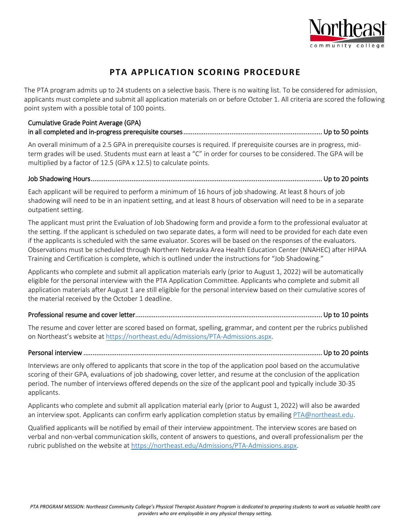

# **PTA APPLICATION SCORING PROCEDURE**

The PTA program admits up to 24 students on a selective basis. There is no waiting list. To be considered for admission, applicants must complete and submit all application materials on or before October 1. All criteria are scored the following point system with a possible total of 100 points.

### Cumulative Grade Point Average (GPA) in all completed and in-progress prerequisite courses ........................................................................... Up to 50 points

An overall minimum of a 2.5 GPA in prerequisite courses is required. If prerequisite courses are in progress, midterm grades will be used. Students must earn at least a "C" in order for courses to be considered. The GPA will be multiplied by a factor of 12.5 (GPA x 12.5) to calculate points.

### Job Shadowing Hours ............................................................................................................................. Up to 20 points

Each applicant will be required to perform a minimum of 16 hours of job shadowing. At least 8 hours of job shadowing will need to be in an inpatient setting, and at least 8 hours of observation will need to be in a separate outpatient setting.

The applicant must print the Evaluation of Job Shadowing form and provide a form to the professional evaluator at the setting. If the applicant is scheduled on two separate dates, a form will need to be provided for each date even if the applicants is scheduled with the same evaluator. Scores will be based on the responses of the evaluators. Observations must be scheduled through Northern Nebraska Area Health Education Center (NNAHEC) after HIPAA Training and Certification is complete, which is outlined under the instructions for "Job Shadowing."

Applicants who complete and submit all application materials early (prior to August 1, 2022) will be automatically eligible for the personal interview with the PTA Application Committee. Applicants who complete and submit all application materials after August 1 are still eligible for the personal interview based on their cumulative scores of the material received by the October 1 deadline.

### Professional resume and cover letter ..................................................................................................... Up to 10 points

The resume and cover letter are scored based on format, spelling, grammar, and content per the rubrics published on Northeast's website at [https://northeast.edu/Admissions/PTA-Admissions.aspx.](https://northeast.edu/Admissions/PTA-Admissions.aspx)

### Personal interview ................................................................................................................................. Up to 20 points

Interviews are only offered to applicants that score in the top of the application pool based on the accumulative scoring of their GPA, evaluations of job shadowing, cover letter, and resume at the conclusion of the application period. The number of interviews offered depends on the size of the applicant pool and typically include 30-35 applicants.

Applicants who complete and submit all application material early (prior to August 1, 2022) will also be awarded an interview spot. Applicants can confirm early application completion status by emailing [PTA@northeast.edu.](mailto:PTA@northeast.edu)

Qualified applicants will be notified by email of their interview appointment. The interview scores are based on verbal and non-verbal communication skills, content of answers to questions, and overall professionalism per the rubric published on the website a[t https://northeast.edu/Admissions/PTA-Admissions.aspx.](https://northeast.edu/Admissions/PTA-Admissions.aspx)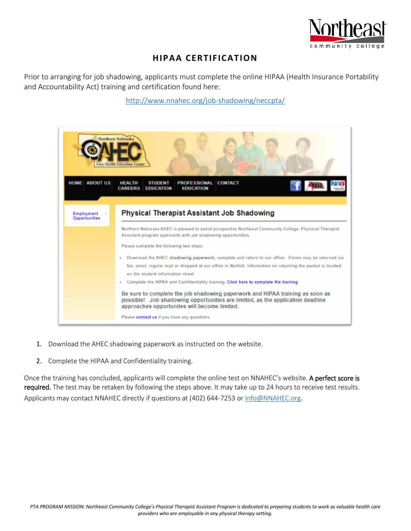

# **HIPAA CERTIFICATION**

Prior to arranging for job shadowing, applicants must complete the online HIPAA (Health Insurance Portability and Accountability Act) training and certification found here:

<http://www.nnahec.org/job-shadowing/neccpta/>



- 1. Download the AHEC shadowing paperwork as instructed on the website.
- 2. Complete the HIPAA and Confidentiality training.

Once the training has concluded, applicants will complete the online test on NNAHEC's website. A perfect score is required. The test may be retaken by following the steps above. It may take up to 24 hours to receive test results. Applicants may contact NNAHEC directly if questions at (402) 644-7253 or [Info@NNAHEC.org.](mailto:Info@NNAHEC.org)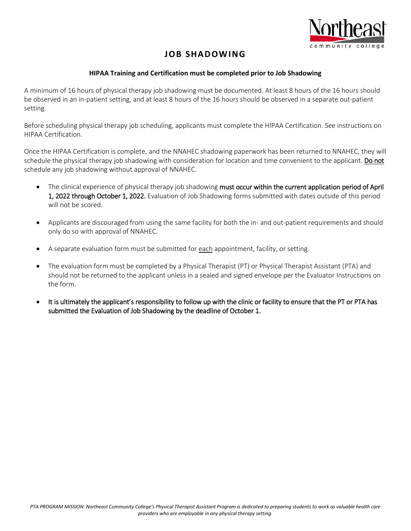

# **JOB SHADOWING**

### **HIPAA Training and Certification must be completed prior to Job Shadowing**

A minimum of 16 hours of physical therapy job shadowing must be documented. At least 8 hours of the 16 hours should be observed in an in-patient setting, and at least 8 hours of the 16 hours should be observed in a separate out-patient setting.

Before scheduling physical therapy job scheduling, applicants must complete the HIPAA Certification. See instructions on HIPAA Certification.

Once the HIPAA Certification is complete, and the NNAHEC shadowing paperwork has been returned to NNAHEC, they will schedule the physical therapy job shadowing with consideration for location and time convenient to the applicant. Do not schedule any job shadowing without approval of NNAHEC.

- The clinical experience of physical therapy job shadowing must occur within the current application period of April 1, 2022 through October 1, 2022. Evaluation of Job Shadowing forms submitted with dates outside of this period will not be scored.
- Applicants are discouraged from using the same facility for both the in- and out-patient requirements and should only do so with approval of NNAHEC.
- A separate evaluation form must be submitted for each appointment, facility, or setting.
- The evaluation form must be completed by a Physical Therapist (PT) or Physical Therapist Assistant (PTA) and should not be returned to the applicant unless in a sealed and signed envelope per the Evaluator Instructions on the form.
- It is ultimately the applicant's responsibility to follow up with the clinic or facility to ensure that the PT or PTA has submitted the Evaluation of Job Shadowing by the deadline of October 1.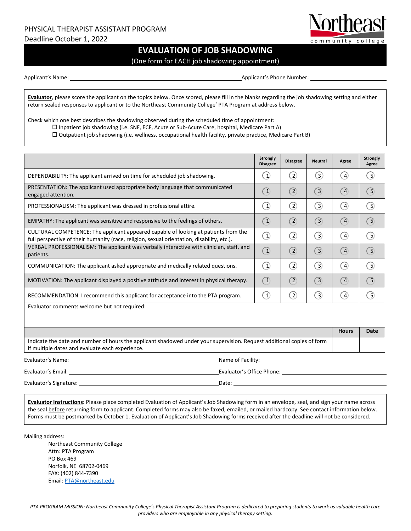# PHYSICAL THERAPIST ASSISTANT PROGRAM

Deadline October 1, 2022

### **EVALUATION OF JOB SHADOWING**

(One form for EACH job shadowing appointment)

Applicant's Name: 1988. The Communication of the Applicant's Phone Number:

community college

**Evaluator**, please score the applicant on the topics below. Once scored, please fill in the blanks regarding the job shadowing setting and either return sealed responses to applicant or to the Northeast Community College' PTA Program at address below.

Check which one best describes the shadowing observed during the scheduled time of appointment:

 $\square$  Inpatient job shadowing (i.e. SNF, ECF, Acute or Sub-Acute Care, hospital, Medicare Part A)

Outpatient job shadowing (i.e. wellness, occupational health facility, private practice, Medicare Part B)

|                                                                                                                                                                                                                                | Strongly<br><b>Disagree</b>                                  | <b>Disagree</b>   | <b>Neutral</b> | Agree                        | Strongly<br>Agree |
|--------------------------------------------------------------------------------------------------------------------------------------------------------------------------------------------------------------------------------|--------------------------------------------------------------|-------------------|----------------|------------------------------|-------------------|
| DEPENDABILITY: The applicant arrived on time for scheduled job shadowing.                                                                                                                                                      | $\left( \begin{smallmatrix} 1 \ 1 \end{smallmatrix} \right)$ | $\binom{2}{}$     | $\odot$        | $\left( 4\right)$            | ( 5)              |
| PRESENTATION: The applicant used appropriate body language that communicated<br>engaged attention.                                                                                                                             | ᠒                                                            | $\left( 2\right)$ | $\circled{3}$  | $\left( \overline{4}\right)$ | <u>ි</u>          |
| PROFESSIONALISM: The applicant was dressed in professional attire.                                                                                                                                                             | ➀                                                            | $\left( 2\right)$ | 3              | $\binom{4}{ }$               | ெ                 |
| EMPATHY: The applicant was sensitive and responsive to the feelings of others.                                                                                                                                                 | $\bigcirc$                                                   | (2)               | $\circ$        | (4)                          | ි                 |
| CULTURAL COMPETENCE: The applicant appeared capable of looking at patients from the<br>full perspective of their humanity (race, religion, sexual orientation, disability, etc.).                                              | ◑                                                            | $\left( 2\right)$ | 3              | 4                            | ெ                 |
| VERBAL PROFESSIONALISM: The applicant was verbally interactive with clinician, staff, and<br>patients.                                                                                                                         | $\bigcirc$                                                   | $\left( 2\right)$ | $\sqrt{3}$     | (4)                          | G)                |
| COMMUNICATION: The applicant asked appropriate and medically related questions.                                                                                                                                                | $\circled{1}$                                                | $\circled{2}$     | (3)            | $\left( 4\right)$            | ြ                 |
| MOTIVATION: The applicant displayed a positive attitude and interest in physical therapy.                                                                                                                                      | $\bigcirc$                                                   | $\circled{2}$     | $\circled{3}$  | $\left( \overline{4}\right)$ | $\bigcirc$        |
| RECOMMENDATION: I recommend this applicant for acceptance into the PTA program.                                                                                                                                                | $\left( 1\right)$                                            | $\rm{(\rm2)}$     | $\circled{3}$  | $\left( 4\right)$            | ြ                 |
| Evaluator comments welcome but not required:                                                                                                                                                                                   |                                                              |                   |                |                              |                   |
|                                                                                                                                                                                                                                |                                                              |                   |                | <b>Hours</b>                 | Date              |
| Indicate the date and number of hours the applicant shadowed under your supervision. Request additional copies of form<br>if multiple dates and evaluate each experience.                                                      |                                                              |                   |                |                              |                   |
|                                                                                                                                                                                                                                |                                                              |                   |                |                              |                   |
|                                                                                                                                                                                                                                |                                                              |                   |                |                              |                   |
| Date: the contract of the contract of the contract of the contract of the contract of the contract of the contract of the contract of the contract of the contract of the contract of the contract of the contract of the cont |                                                              |                   |                |                              |                   |

**Evaluator Instructions:** Please place completed Evaluation of Applicant's Job Shadowing form in an envelope, seal, and sign your name across the seal before returning form to applicant. Completed forms may also be faxed, emailed, or mailed hardcopy. See contact information below. Forms must be postmarked by October 1. Evaluation of Applicant's Job Shadowing forms received after the deadline will not be considered.

Mailing address:

Northeast Community College Attn: PTA Program PO Box 469 Norfolk, NE 68702-0469 FAX: (402) 844-7390 Email[: PTA@northeast.edu](mailto:PTA@northeast.edu)

*PTA PROGRAM MISSION: Northeast Community College's Physical Therapist Assistant Program is dedicated to preparing students to work as valuable health care providers who are employable in any physical therapy setting.*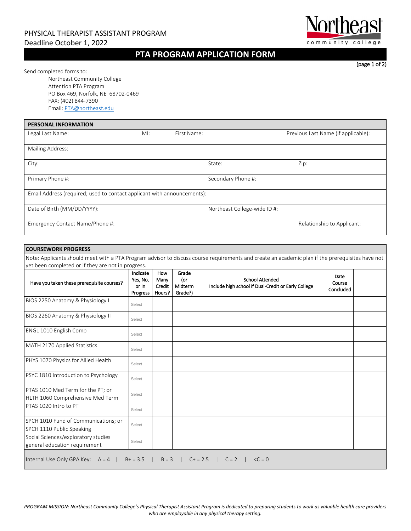### PHYSICAL THERAPIST ASSISTANT PROGRAM Deadline October 1, 2022

### **PTA PROGRAM APPLICATION FORM**

(page 1 of 2)

community college

Send completed forms to:

Northeast Community College Attention PTA Program PO Box 469, Norfolk, NE 68702-0469 FAX: (402) 844-7390 Email[: PTA@northeast.edu](mailto:PTA@northeast.edu) 

| <b>PERSONAL INFORMATION</b>                                             |        |                              |                                     |
|-------------------------------------------------------------------------|--------|------------------------------|-------------------------------------|
| Legal Last Name:                                                        | $M!$ : | First Name:                  | Previous Last Name (if applicable): |
| Mailing Address:                                                        |        |                              |                                     |
| City:                                                                   |        | State:                       | Zip:                                |
| Primary Phone #:                                                        |        | Secondary Phone #:           |                                     |
| Email Address (required; used to contact applicant with announcements): |        |                              |                                     |
| Date of Birth (MM/DD/YYYY):                                             |        | Northeast College-wide ID #: |                                     |
| Emergency Contact Name/Phone #:                                         |        |                              | Relationship to Applicant:          |

#### **COURSEWORK PROGRESS**

Note: Applicants should meet with a PTA Program advisor to discuss course requirements and create an academic plan if the prerequisites have not yet been completed or if they are not in progress.

| Have you taken these prerequisite courses?                            | Indicate<br>Yes, No,<br>or In<br>Progress | How<br>Many<br>Credit<br>Hours? | Grade<br>(or<br>Midterm<br>Grade?) | <b>School Attended</b><br>Include high school if Dual-Credit or Early College | Date<br>Course<br><b>Concluded</b> |  |
|-----------------------------------------------------------------------|-------------------------------------------|---------------------------------|------------------------------------|-------------------------------------------------------------------------------|------------------------------------|--|
| BIOS 2250 Anatomy & Physiology I                                      | Select                                    |                                 |                                    |                                                                               |                                    |  |
| BIOS 2260 Anatomy & Physiology II                                     | Select                                    |                                 |                                    |                                                                               |                                    |  |
| ENGL 1010 English Comp                                                | Select                                    |                                 |                                    |                                                                               |                                    |  |
| MATH 2170 Applied Statistics                                          | Select                                    |                                 |                                    |                                                                               |                                    |  |
| PHYS 1070 Physics for Allied Health                                   | Select                                    |                                 |                                    |                                                                               |                                    |  |
| PSYC 1810 Introduction to Psychology                                  | Select                                    |                                 |                                    |                                                                               |                                    |  |
| PTAS 1010 Med Term for the PT; or<br>HLTH 1060 Comprehensive Med Term | Select                                    |                                 |                                    |                                                                               |                                    |  |
| PTAS 1020 Intro to PT                                                 | Select                                    |                                 |                                    |                                                                               |                                    |  |
| SPCH 1010 Fund of Communications; or<br>SPCH 1110 Public Speaking     | Select                                    |                                 |                                    |                                                                               |                                    |  |
| Social Sciences/exploratory studies<br>general education requirement  | Select                                    |                                 |                                    |                                                                               |                                    |  |
| Internal Use Only GPA Key: $A = 4$   $B+=3.5$                         |                                           | $B = 3$                         |                                    | $C + 2.5$<br>$C = 2$<br>$\langle C = 0 \rangle$                               |                                    |  |